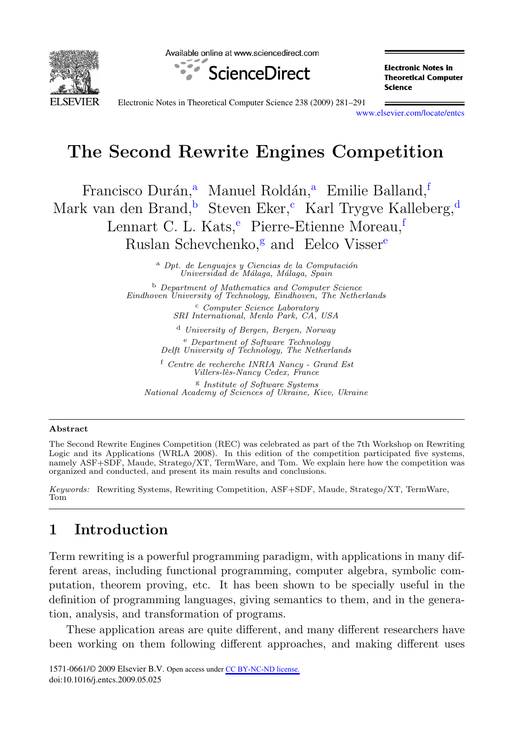

Available online at www.sciencedirect.com



**Electronic Notes in Theoretical Computer** Science

Electronic Notes in Theoretical Computer Science 238 (2009) 281–291

[www.elsevier.com/locate/entcs](http://www.elsevier.com/locate/entcs)

# **The Second Rewrite Engines Competition**

Francisco Durán,<sup>a</sup> Manuel Roldán,<sup>a</sup> Emilie Balland,<sup>f</sup> Mark van den Brand, Steven Eker, Karl Trygve Kalleberg,  $d$ Lennart C. L. Kats, <sup>e</sup> Pierre-Etienne Moreau,<sup>f</sup> Ruslan Schevchenko, $g$  and Eelco Visser<sup>e</sup>

<sup>a</sup> Dpt. de Lenguajes y Ciencias de la Computación<br>Universidad de Málaga, Málaga, Spain

<sup>b</sup> Department of Mathematics and Computer Science Eindhoven University of Technology, Eindhoven, The Netherlands <sup>c</sup> Computer Science Laboratory

SRI International, Menlo Park, CA, USA

<sup>d</sup> University of Bergen, Bergen, Norway <sup>e</sup> Department of Software Technology Delft University of Technology, The Netherlands

<sup>f</sup> Centre de recherche INRIA Nancy - Grand Est Villers-lès-Nancy Cedex, France

<sup>g</sup> Institute of Software Systems National Academy of Sciences of Ukraine, Kiev, Ukraine

### **Abstract**

The Second Rewrite Engines Competition (REC) was celebrated as part of the 7th Workshop on Rewriting Logic and its Applications (WRLA 2008). In this edition of the competition participated five systems, namely ASF+SDF, Maude, Stratego/XT, TermWare, and Tom. We explain here how the competition was organized and conducted, and present its main results and conclusions.

Keywords: Rewriting Systems, Rewriting Competition, ASF+SDF, Maude, Stratego/XT, TermWare, Tom

## **1 Introduction**

Term rewriting is a powerful programming paradigm, with applications in many different areas, including functional programming, computer algebra, symbolic computation, theorem proving, etc. It has been shown to be specially useful in the definition of programming languages, giving semantics to them, and in the generation, analysis, and transformation of programs.

These application areas are quite different, and many different researchers have been working on them following different approaches, and making different uses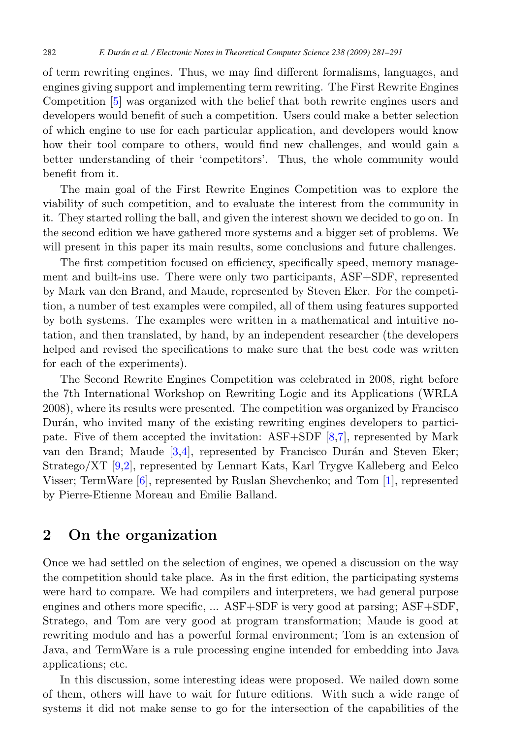of term rewriting engines. Thus, we may find different formalisms, languages, and engines giving support and implementing term rewriting. The First Rewrite Engines Competition [\[5\]](#page-10-0) was organized with the belief that both rewrite engines users and developers would benefit of such a competition. Users could make a better selection of which engine to use for each particular application, and developers would know how their tool compare to others, would find new challenges, and would gain a better understanding of their 'competitors'. Thus, the whole community would benefit from it.

The main goal of the First Rewrite Engines Competition was to explore the viability of such competition, and to evaluate the interest from the community in it. They started rolling the ball, and given the interest shown we decided to go on. In the second edition we have gathered more systems and a bigger set of problems. We will present in this paper its main results, some conclusions and future challenges.

The first competition focused on efficiency, specifically speed, memory management and built-ins use. There were only two participants, ASF+SDF, represented by Mark van den Brand, and Maude, represented by Steven Eker. For the competition, a number of test examples were compiled, all of them using features supported by both systems. The examples were written in a mathematical and intuitive notation, and then translated, by hand, by an independent researcher (the developers helped and revised the specifications to make sure that the best code was written for each of the experiments).

The Second Rewrite Engines Competition was celebrated in 2008, right before the 7th International Workshop on Rewriting Logic and its Applications (WRLA 2008), where its results were presented. The competition was organized by Francisco Durán, who invited many of the existing rewriting engines developers to participate. Five of them accepted the invitation: ASF+SDF [\[8,7\]](#page-10-0), represented by Mark van den Brand; Maude  $[3,4]$ , represented by Francisco Durán and Steven Eker; Stratego/XT [\[9,2\]](#page-10-0), represented by Lennart Kats, Karl Trygve Kalleberg and Eelco Visser; TermWare [\[6\]](#page-10-0), represented by Ruslan Shevchenko; and Tom [\[1\]](#page-10-0), represented by Pierre-Etienne Moreau and Emilie Balland.

### **2 On the organization**

Once we had settled on the selection of engines, we opened a discussion on the way the competition should take place. As in the first edition, the participating systems were hard to compare. We had compilers and interpreters, we had general purpose engines and others more specific, ... ASF+SDF is very good at parsing; ASF+SDF, Stratego, and Tom are very good at program transformation; Maude is good at rewriting modulo and has a powerful formal environment; Tom is an extension of Java, and TermWare is a rule processing engine intended for embedding into Java applications; etc.

In this discussion, some interesting ideas were proposed. We nailed down some of them, others will have to wait for future editions. With such a wide range of systems it did not make sense to go for the intersection of the capabilities of the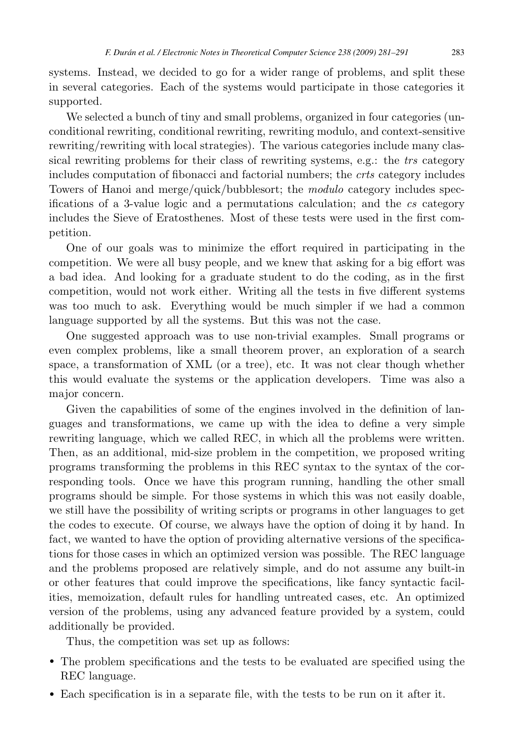systems. Instead, we decided to go for a wider range of problems, and split these in several categories. Each of the systems would participate in those categories it supported.

We selected a bunch of tiny and small problems, organized in four categories (unconditional rewriting, conditional rewriting, rewriting modulo, and context-sensitive rewriting/rewriting with local strategies). The various categories include many classical rewriting problems for their class of rewriting systems, e.g.: the trs category includes computation of fibonacci and factorial numbers; the crts category includes Towers of Hanoi and merge/quick/bubblesort; the modulo category includes specifications of a 3-value logic and a permutations calculation; and the cs category includes the Sieve of Eratosthenes. Most of these tests were used in the first competition.

One of our goals was to minimize the effort required in participating in the competition. We were all busy people, and we knew that asking for a big effort was a bad idea. And looking for a graduate student to do the coding, as in the first competition, would not work either. Writing all the tests in five different systems was too much to ask. Everything would be much simpler if we had a common language supported by all the systems. But this was not the case.

One suggested approach was to use non-trivial examples. Small programs or even complex problems, like a small theorem prover, an exploration of a search space, a transformation of XML (or a tree), etc. It was not clear though whether this would evaluate the systems or the application developers. Time was also a major concern.

Given the capabilities of some of the engines involved in the definition of languages and transformations, we came up with the idea to define a very simple rewriting language, which we called REC, in which all the problems were written. Then, as an additional, mid-size problem in the competition, we proposed writing programs transforming the problems in this REC syntax to the syntax of the corresponding tools. Once we have this program running, handling the other small programs should be simple. For those systems in which this was not easily doable, we still have the possibility of writing scripts or programs in other languages to get the codes to execute. Of course, we always have the option of doing it by hand. In fact, we wanted to have the option of providing alternative versions of the specifications for those cases in which an optimized version was possible. The REC language and the problems proposed are relatively simple, and do not assume any built-in or other features that could improve the specifications, like fancy syntactic facilities, memoization, default rules for handling untreated cases, etc. An optimized version of the problems, using any advanced feature provided by a system, could additionally be provided.

Thus, the competition was set up as follows:

- The problem specifications and the tests to be evaluated are specified using the REC language.
- Each specification is in a separate file, with the tests to be run on it after it.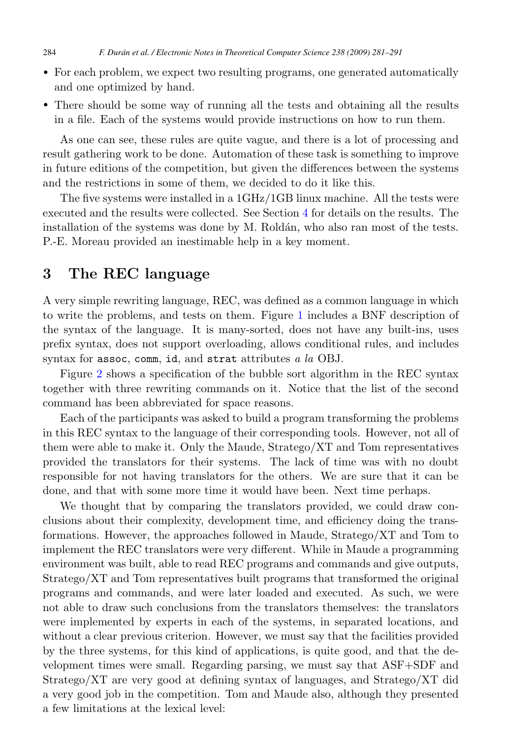- <span id="page-3-0"></span>• For each problem, we expect two resulting programs, one generated automatically and one optimized by hand.
- There should be some way of running all the tests and obtaining all the results in a file. Each of the systems would provide instructions on how to run them.

As one can see, these rules are quite vague, and there is a lot of processing and result gathering work to be done. Automation of these task is something to improve in future editions of the competition, but given the differences between the systems and the restrictions in some of them, we decided to do it like this.

The five systems were installed in a 1GHz/1GB linux machine. All the tests were executed and the results were collected. See Section [4](#page-4-0) for details on the results. The installation of the systems was done by M. Roldán, who also ran most of the tests. P.-E. Moreau provided an inestimable help in a key moment.

### **3 The REC language**

A very simple rewriting language, REC, was defined as a common language in which to write the problems, and tests on them. Figure [1](#page-4-0) includes a BNF description of the syntax of the language. It is many-sorted, does not have any built-ins, uses prefix syntax, does not support overloading, allows conditional rules, and includes syntax for assoc, comm, id, and strat attributes a la OBJ.

Figure [2](#page-5-0) shows a specification of the bubble sort algorithm in the REC syntax together with three rewriting commands on it. Notice that the list of the second command has been abbreviated for space reasons.

Each of the participants was asked to build a program transforming the problems in this REC syntax to the language of their corresponding tools. However, not all of them were able to make it. Only the Maude, Stratego/XT and Tom representatives provided the translators for their systems. The lack of time was with no doubt responsible for not having translators for the others. We are sure that it can be done, and that with some more time it would have been. Next time perhaps.

We thought that by comparing the translators provided, we could draw conclusions about their complexity, development time, and efficiency doing the transformations. However, the approaches followed in Maude, Stratego/XT and Tom to implement the REC translators were very different. While in Maude a programming environment was built, able to read REC programs and commands and give outputs, Stratego/XT and Tom representatives built programs that transformed the original programs and commands, and were later loaded and executed. As such, we were not able to draw such conclusions from the translators themselves: the translators were implemented by experts in each of the systems, in separated locations, and without a clear previous criterion. However, we must say that the facilities provided by the three systems, for this kind of applications, is quite good, and that the development times were small. Regarding parsing, we must say that ASF+SDF and Stratego/XT are very good at defining syntax of languages, and Stratego/XT did a very good job in the competition. Tom and Maude also, although they presented a few limitations at the lexical level: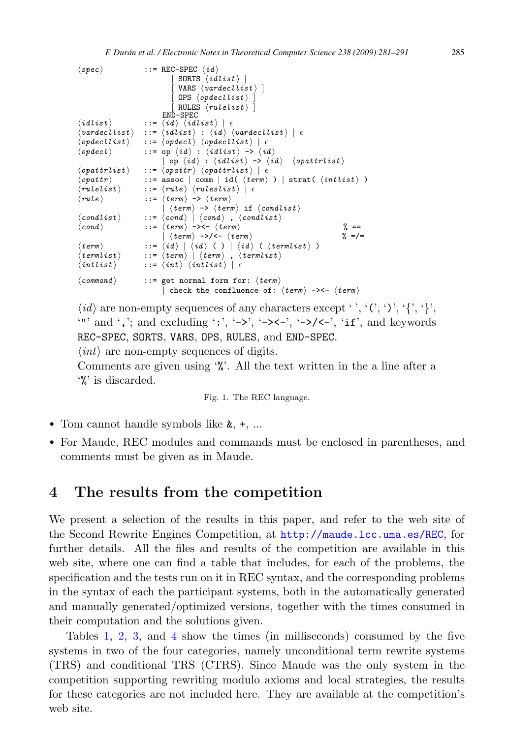```
\langle spec \ranglespec \rangle ::= REC-SPEC (id)[ SORTS \langle idlist \rangle ][ VARS \langle varecllist \rangle ][ OPS \langle opdecllist \rangle ]\left[\begin{array}{c|c}\text{RULES}\end{array}\right]\left(\text{rulelist}\right)END-SPEC
\langle{}^{i}dlist\rangle{}_{\quad \  \  \, \cdots}=\langle{}^{i}d\rangle\;\langle{}^{i}dlist\rangle{}_{\quad \  \  \, \langle{}^{i}d\rangle}\;\langle{}^{v}ardecllist\rangle\;|\;\epsilon\rangle\;\langle opdecklist \rangle ::= \langle\langle \text{opdecl} \rangle \langle \text{opdecl} \rangle \langle\langle \textit{opdecl}\,\rangle\langle odd \rangle ::= op \langle id \rangle : \langle id \rangle -> \langle id \rangle| op \langle id \rangle : \langle idlist \rangle \rightarrow \langle id \rangle \langle opattrlist \rangle\langle opattrlist \rangle ::= \langle\langleopattrlist\rangle | \epsilon\langleopattr\rangle\setlength{\abovedisplayskip}{-3pt} \setlength{\belowdisplayskip}{-3pt} \begin{minipage}{0.95\textwidth}{ \begin{tabular}{c} \hline \textbf{output} \end{tabular} } \begin{minipage}{0.95\textwidth}{ \begin{tabular}{c} \hline \textbf{output} \end{tabular} } \begin{tabular}{c} \hline \textbf{output} \end{tabular} } \begin{tabular}{c} \hline \textbf{output} \end{tabular} } \begin{minipage}{0.95\textwidth}{ \begin{tabular}{c} \hline \textbf{output} \end{tabular} } \begin{tabular}{c} \hline \textbf{output} \end{tabular} } \begin{tab\langle rulelist \rangle ::= \langlerule \rangle \langle ruleslist \rangle | \epsilon\langle rule \rangle ::= \langle\langle \text{term} \rangle \rightarrow \langle \text{term} \rangle\int \langle term \rangle -> \langle term \rangle if \langle condlist \rangle\langle \text{condlist} \rangle ::= \langle\langle cond \rangle | \langle cond \rangle , \langle condlist \rangle\langle \textit{cond} \rangle\langle \text{term} \rangle ::= \langle \text{term} \rangle -><- \langle \text{term} \rangle \% =
                                                  \int (term) ->/<- \langle term \rangle % =/=
                                                   \langle term \rangle ->/<- \langle term \rangle\langle \textit{term} \rangleterm \rangle ::= \langle id \rangle \langle id \rangle ( ) \langle id \rangle ( \langle terminal \rangle)
\langle \text{termlist} \rangletermlist ::= \langle term \rangle | \langle term \rangle , \langle terminal \rangle\langle \text{intlist} \rangle ::= \langle\langle \text{intlist} \rangle | \epsilon\langle command \rangle\langle \text{ command} \rangle ::= get normal form for: \langle \text{term} \rangle\vert check the confluence of: \langle term \rangle -><- \langle term \rangle
```
 $\langle id \rangle$  are non-empty sequences of any characters except ' ', '(', ')', '{', '}',  $\cdot$ "' and  $\cdot$ ,  $\cdot$ ; and excluding  $\cdot$ :',  $\cdot$  ->',  $\cdot$  -><-',  $\cdot$  ->/<-',  $\cdot$  if', and keywords REC-SPEC, SORTS, VARS, OPS, RULES, and END-SPEC.

 $\langle \mathit{int} \rangle$  are non-empty sequences of digits.

Comments are given using '%'. All the text written in the a line after a '%' is discarded.

Fig. 1. The REC language.

- Tom cannot handle symbols like &, +, ...
- For Maude, REC modules and commands must be enclosed in parentheses, and comments must be given as in Maude.

### **4 The results from the competition**

We present a selection of the results in this paper, and refer to the web site of the Second Rewrite Engines Competition, at <http://maude.lcc.uma.es/REC>, for further details. All the files and results of the competition are available in this web site, where one can find a table that includes, for each of the problems, the specification and the tests run on it in REC syntax, and the corresponding problems in the syntax of each the participant systems, both in the automatically generated and manually generated/optimized versions, together with the times consumed in their computation and the solutions given.

Tables [1,](#page-6-0) [2,](#page-7-0) [3,](#page-8-0) and [4](#page-9-0) show the times (in milliseconds) consumed by the five systems in two of the four categories, namely unconditional term rewrite systems (TRS) and conditional TRS (CTRS). Since Maude was the only system in the competition supporting rewriting modulo axioms and local strategies, the results for these categories are not included here. They are available at the competition's web site.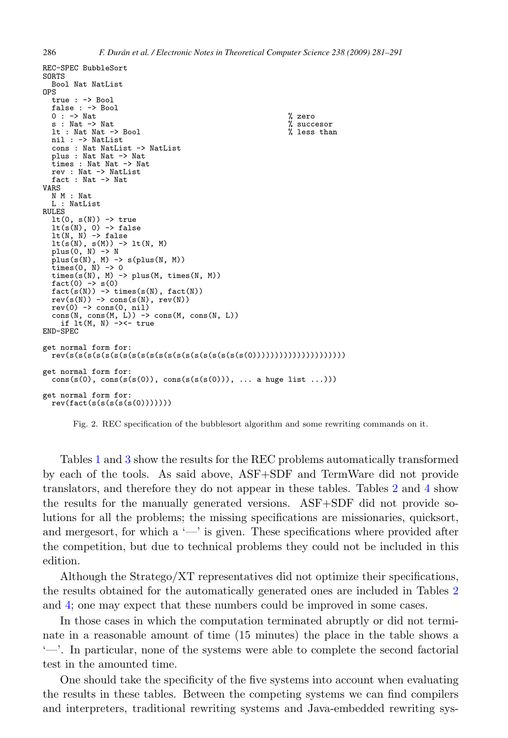```
REC-SPEC BubbleSort
SORTS
   Bool Nat NatList
OPS
   true : -> Bool
   false : -> Bool
   \begin{array}{lllllll} 0 & : & -> \operatorname{\sf Nat} \\ \mathrm{\sf s} & : & \operatorname{\sf Nat} \end{array} \qquad \qquad \begin{array}{lllllll} \text{\rm \#} & & \hspace{-3.2cm} \text{\rm \#} & \hspace{-3.2cm} \text{\rm \#} & \text{\rm \#} \\ \text{\rm \#} & & \hspace{-3.2cm} \text{\rm \#} & \text{\rm \#} & \text{\rm \#} & \text{\rm \#} \\ \text{\rm \#} & & \hspace{-3.2cm} \text{\rm \#} & & \hspace{-4.2cm} \text{\rm \#} & \text{\rm \#} & \text{\s : Nat -> Nat<br>1t : Nat Nat -> Bool (%) succesor<br>(%) succesor<br>(%) succesor
   lt : Nat Nat \rightarrow Boolnil : -> NatList
   cons : Nat NatList -> NatList
   plus : Nat Nat -> Nat
   times : Nat Nat -> Nat
   rev : Nat -> NatList
   fact : Nat -> Nat
VARS
   N M : Nat
   L : NatList
RULES
    lt(0, s(N)) -> true
lt(s(N), 0) -> false
lt(N, N) -> false
    lt(s(N), s(M)) -> lt(N, M)<br>plus(0, N) -> N<br>plus(s(N), M) -> s(plus(N, M))<br>times(0, N) -> 0<br>times(s(N), M) -> plus(M, times(N, M))
   fact(0) \rightarrow s(0)fact(s(N)) \rightarrow times(s(N), fact(N))rev(s(N)) \rightarrow cons(s(N), rev(N))rev(0) -> cons(0, nil)
cons(N, cons(M, L)) -> cons(M, cons(N, L))
if lt(M, N) -><- true
END-SPEC
get normal form for:
   rev(s(s(s(s(s(s(s(s(s(s(s(s(s(s(s(s(s(s(s(s(s(s(s(1))))))))))))))))))))get normal form for:
   cons(s(0), cons(s(s(0)), cons(s(s(s(0))), ... a huge list ...)))
get normal form for:
   rev(fact(s(s(s(s(0)))))))
```
Fig. 2. REC specification of the bubblesort algorithm and some rewriting commands on it.

Tables [1](#page-6-0) and [3](#page-8-0) show the results for the REC problems automatically transformed by each of the tools. As said above, ASF+SDF and TermWare did not provide translators, and therefore they do not appear in these tables. Tables [2](#page-7-0) and [4](#page-9-0) show the results for the manually generated versions. ASF+SDF did not provide solutions for all the problems; the missing specifications are missionaries, quicksort, and mergesort, for which a  $\leftarrow$  is given. These specifications where provided after the competition, but due to technical problems they could not be included in this edition.

Although the Stratego/XT representatives did not optimize their specifications, the results obtained for the automatically generated ones are included in Tables [2](#page-7-0) and [4;](#page-9-0) one may expect that these numbers could be improved in some cases.

In those cases in which the computation terminated abruptly or did not terminate in a reasonable amount of time (15 minutes) the place in the table shows a  $\leftarrow$ . In particular, none of the systems were able to complete the second factorial test in the amounted time.

One should take the specificity of the five systems into account when evaluating the results in these tables. Between the competing systems we can find compilers and interpreters, traditional rewriting systems and Java-embedded rewriting sys-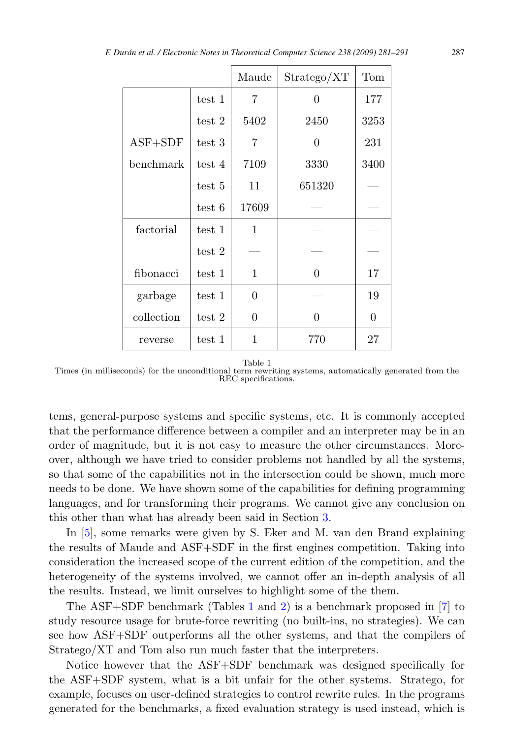<span id="page-6-0"></span>

|             |          | Maude    | Stratego/XT | Tom      |
|-------------|----------|----------|-------------|----------|
|             | test 1   | 7        | 0           | 177      |
|             | test 2   | 5402     | 2450        | 3253     |
| $ASF + SDF$ | test 3   | 7        | $\Omega$    | 231      |
| benchmark   | test 4   | 7109     | 3330        | 3400     |
|             | test 5   | 11       | 651320      |          |
|             | test 6   | 17609    |             |          |
| factorial   | test 1   | 1        |             |          |
|             | test 2   |          |             |          |
| fibonacci   | test 1   | 1        | 0           | 17       |
| garbage     | test 1   | $\theta$ |             | 19       |
| collection  | test $2$ | 0        | 0           | $\theta$ |
| reverse     | test 1   | 1        | 770         | 27       |

#### Table 1

Times (in milliseconds) for the unconditional term rewriting systems, automatically generated from the REC specifications.

tems, general-purpose systems and specific systems, etc. It is commonly accepted that the performance difference between a compiler and an interpreter may be in an order of magnitude, but it is not easy to measure the other circumstances. Moreover, although we have tried to consider problems not handled by all the systems, so that some of the capabilities not in the intersection could be shown, much more needs to be done. We have shown some of the capabilities for defining programming languages, and for transforming their programs. We cannot give any conclusion on this other than what has already been said in Section [3.](#page-3-0)

In [\[5\]](#page-10-0), some remarks were given by S. Eker and M. van den Brand explaining the results of Maude and ASF+SDF in the first engines competition. Taking into consideration the increased scope of the current edition of the competition, and the heterogeneity of the systems involved, we cannot offer an in-depth analysis of all the results. Instead, we limit ourselves to highlight some of the them.

The ASF+SDF benchmark (Tables 1 and [2\)](#page-7-0) is a benchmark proposed in [\[7\]](#page-10-0) to study resource usage for brute-force rewriting (no built-ins, no strategies). We can see how ASF+SDF outperforms all the other systems, and that the compilers of Stratego/XT and Tom also run much faster that the interpreters.

Notice however that the ASF+SDF benchmark was designed specifically for the ASF+SDF system, what is a bit unfair for the other systems. Stratego, for example, focuses on user-defined strategies to control rewrite rules. In the programs generated for the benchmarks, a fixed evaluation strategy is used instead, which is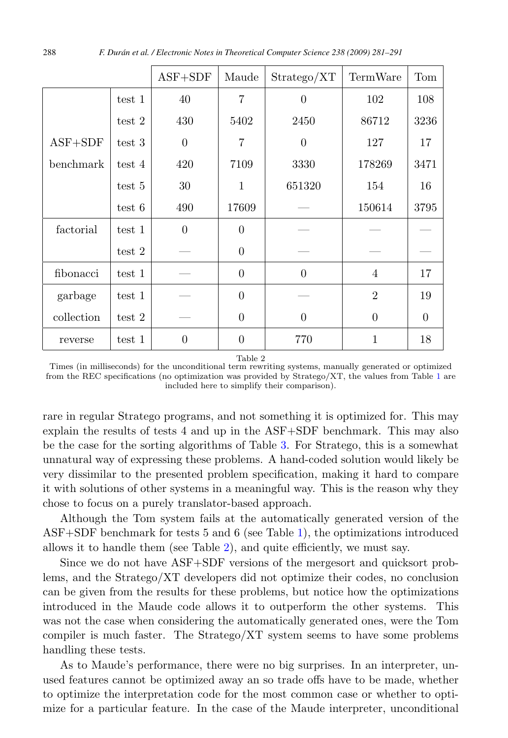<span id="page-7-0"></span>288 *F. Durán et al. / Electronic Notes in Theoretical Computer Science 238 (2009) 281–291*

|            |        | $ASF+SDF$        | Maude          | Stratego/XT    | TermWare       | Tom      |
|------------|--------|------------------|----------------|----------------|----------------|----------|
|            | test 1 | 40               | $\overline{7}$ | $\overline{0}$ | 102            | 108      |
|            | test 2 | 430              | 5402           | 2450           | 86712          | 3236     |
| $ASF+SDF$  | test 3 | $\theta$         | 7              | $\theta$       | 127            | 17       |
| benchmark  | test 4 | 420              | 7109           | 3330           | 178269         | 3471     |
|            | test 5 | 30               | 1              | 651320         | 154            | 16       |
|            | test 6 | 490              | 17609          |                | 150614         | 3795     |
| factorial  | test 1 | $\overline{0}$   | $\theta$       |                |                |          |
|            | test 2 |                  | $\Omega$       |                |                |          |
| fibonacci  | test 1 |                  | $\Omega$       | $\theta$       | $\overline{4}$ | 17       |
| garbage    | test 1 |                  | $\theta$       |                | $\overline{2}$ | 19       |
| collection | test 2 |                  | $\overline{0}$ | $\Omega$       | $\overline{0}$ | $\theta$ |
| reverse    | test 1 | $\boldsymbol{0}$ | $\Omega$       | 770            | 1              | 18       |

Table 2

Times (in milliseconds) for the unconditional term rewriting systems, manually generated or optimized from the REC specifications (no optimization was provided by Stratego/XT, the values from Table [1](#page-6-0) are included here to simplify their comparison).

rare in regular Stratego programs, and not something it is optimized for. This may explain the results of tests 4 and up in the ASF+SDF benchmark. This may also be the case for the sorting algorithms of Table [3.](#page-8-0) For Stratego, this is a somewhat unnatural way of expressing these problems. A hand-coded solution would likely be very dissimilar to the presented problem specification, making it hard to compare it with solutions of other systems in a meaningful way. This is the reason why they chose to focus on a purely translator-based approach.

Although the Tom system fails at the automatically generated version of the ASF+SDF benchmark for tests 5 and 6 (see Table [1\)](#page-6-0), the optimizations introduced allows it to handle them (see Table 2), and quite efficiently, we must say.

Since we do not have ASF+SDF versions of the mergesort and quicksort problems, and the Stratego/XT developers did not optimize their codes, no conclusion can be given from the results for these problems, but notice how the optimizations introduced in the Maude code allows it to outperform the other systems. This was not the case when considering the automatically generated ones, were the Tom compiler is much faster. The Stratego/XT system seems to have some problems handling these tests.

As to Maude's performance, there were no big surprises. In an interpreter, unused features cannot be optimized away an so trade offs have to be made, whether to optimize the interpretation code for the most common case or whether to optimize for a particular feature. In the case of the Maude interpreter, unconditional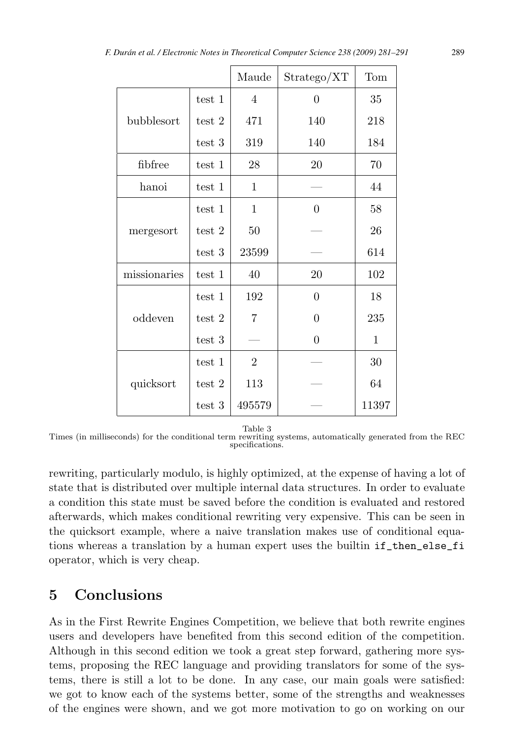<span id="page-8-0"></span>

|              |        | Maude          | Stratego/XT | Tom   |
|--------------|--------|----------------|-------------|-------|
|              | test 1 | $\overline{4}$ | $\theta$    | 35    |
| bubblesort   | test 2 | 471            | 140         | 218   |
|              | test 3 | 319            | 140         | 184   |
| fibfree      | test 1 | 28             | 20<br>70    |       |
| hanoi        | test 1 | $\mathbf{1}$   |             | 44    |
| mergesort    | test 1 | $\mathbf{1}$   | $\theta$    | 58    |
|              | test 2 | 50             |             | 26    |
|              | test 3 | 23599          |             | 614   |
| missionaries | test 1 | 40             | 20          | 102   |
| oddeven      | test 1 | 192            | $\theta$    | 18    |
|              | test 2 | $\overline{7}$ | $\theta$    | 235   |
|              | test 3 |                | $\theta$    | 1     |
| quicksort    | test 1 | $\overline{2}$ |             | 30    |
|              | test 2 | 113            |             | 64    |
|              | test 3 | 495579         |             | 11397 |

Table 3

Times (in milliseconds) for the conditional term rewriting systems, automatically generated from the REC specifications.

rewriting, particularly modulo, is highly optimized, at the expense of having a lot of state that is distributed over multiple internal data structures. In order to evaluate a condition this state must be saved before the condition is evaluated and restored afterwards, which makes conditional rewriting very expensive. This can be seen in the quicksort example, where a naive translation makes use of conditional equations whereas a translation by a human expert uses the builtin if\_then\_else\_fi operator, which is very cheap.

### **5 Conclusions**

As in the First Rewrite Engines Competition, we believe that both rewrite engines users and developers have benefited from this second edition of the competition. Although in this second edition we took a great step forward, gathering more systems, proposing the REC language and providing translators for some of the systems, there is still a lot to be done. In any case, our main goals were satisfied: we got to know each of the systems better, some of the strengths and weaknesses of the engines were shown, and we got more motivation to go on working on our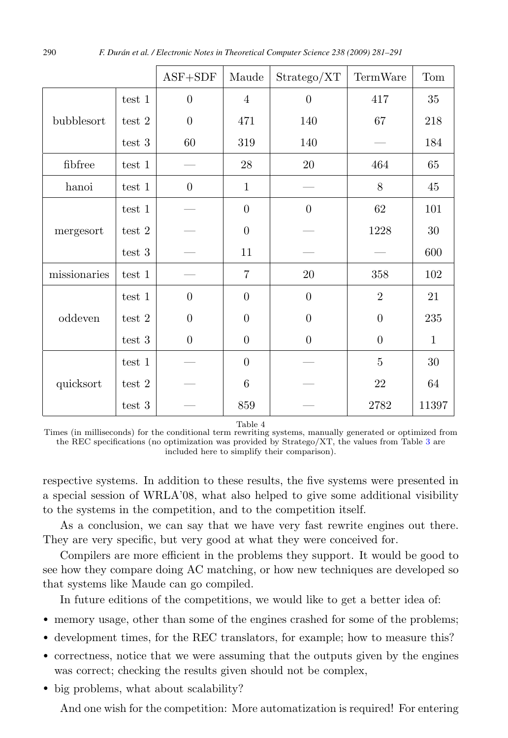<span id="page-9-0"></span>290 *F. Durán et al. / Electronic Notes in Theoretical Computer Science 238 (2009) 281–291*

|              |          | $ASF+SDF$        | Maude          | Stratego/XT      | TermWare       | Tom          |
|--------------|----------|------------------|----------------|------------------|----------------|--------------|
| bubblesort   | test 1   | $\theta$         | $\overline{4}$ | $\boldsymbol{0}$ | 417            | $35\,$       |
|              | test 2   | $\overline{0}$   | 471            | 140              | 67             | 218          |
|              | test 3   | 60               | 319            | 140              |                | 184          |
| fibfree      | test $1$ |                  | $28\,$         | $20\,$           | 464            | 65           |
| hanoi        | test 1   | $\boldsymbol{0}$ | $\mathbf{1}$   |                  | 8              | $45\,$       |
| mergesort    | test 1   |                  | $\overline{0}$ | $\overline{0}$   | 62             | 101          |
|              | test 2   |                  | $\Omega$       |                  | 1228           | $30\,$       |
|              | test $3$ |                  | 11             |                  |                | 600          |
| missionaries | test 1   |                  | $\overline{7}$ | $20\,$           | 358            | 102          |
| oddeven      | test 1   | $\theta$         | $\theta$       | $\overline{0}$   | $\overline{2}$ | 21           |
|              | test 2   | $\overline{0}$   | $\overline{0}$ | $\overline{0}$   | $\overline{0}$ | 235          |
|              | test 3   | $\overline{0}$   | $\theta$       | $\theta$         | $\overline{0}$ | $\mathbf{1}$ |
| quicksort    | test $1$ |                  | $\overline{0}$ |                  | $\overline{5}$ | $30\,$       |
|              | test 2   |                  | 6              |                  | 22             | 64           |
|              | test 3   |                  | 859            |                  | 2782           | 11397        |

Table 4

Times (in milliseconds) for the conditional term rewriting systems, manually generated or optimized from the REC specifications (no optimization was provided by Stratego/XT, the values from Table [3](#page-8-0) are included here to simplify their comparison).

respective systems. In addition to these results, the five systems were presented in a special session of WRLA'08, what also helped to give some additional visibility to the systems in the competition, and to the competition itself.

As a conclusion, we can say that we have very fast rewrite engines out there. They are very specific, but very good at what they were conceived for.

Compilers are more efficient in the problems they support. It would be good to see how they compare doing AC matching, or how new techniques are developed so that systems like Maude can go compiled.

In future editions of the competitions, we would like to get a better idea of:

- memory usage, other than some of the engines crashed for some of the problems;
- development times, for the REC translators, for example; how to measure this?
- correctness, notice that we were assuming that the outputs given by the engines was correct; checking the results given should not be complex,
- big problems, what about scalability?

And one wish for the competition: More automatization is required! For entering